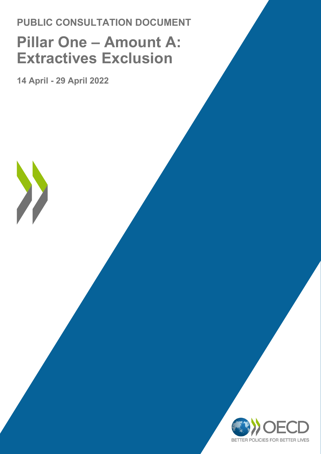# **PUBLIC CONSULTATION DOCUMENT Pillar One - Amount A: Extractives Exclusion**

**14 April - 29 April 2022**

X

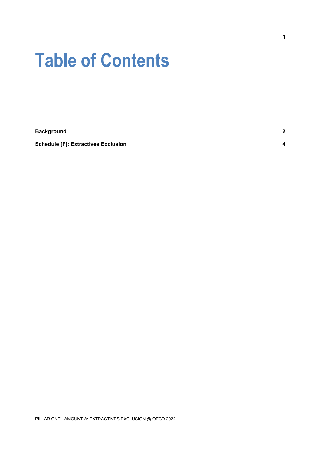# **Table of Contents**

| <b>Background</b>                          | c |
|--------------------------------------------|---|
| <b>Schedule [F]: Extractives Exclusion</b> |   |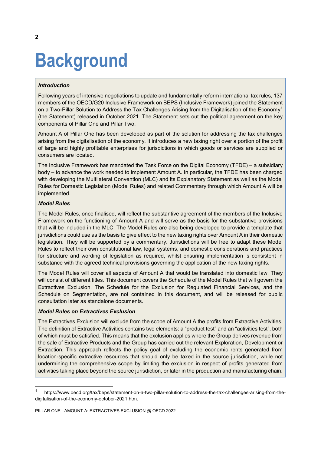# <span id="page-2-0"></span>**Background**

## *Introduction*

Following years of intensive negotiations to update and fundamentally reform international tax rules, 137 members of the OECD/G20 Inclusive Framework on BEPS (Inclusive Framework) joined the Statement on a Two-Pillar Solution to Address the Tax Challenges Arising from the Digitalisation of the Economy<sup>[1](#page-2-1)</sup> (the Statement) released in October 2021. The Statement sets out the political agreement on the key components of Pillar One and Pillar Two.

Amount A of Pillar One has been developed as part of the solution for addressing the tax challenges arising from the digitalisation of the economy. It introduces a new taxing right over a portion of the profit of large and highly profitable enterprises for jurisdictions in which goods or services are supplied or consumers are located.

The Inclusive Framework has mandated the Task Force on the Digital Economy (TFDE) – a subsidiary body – to advance the work needed to implement Amount A. In particular, the TFDE has been charged with developing the Multilateral Convention (MLC) and its Explanatory Statement as well as the Model Rules for Domestic Legislation (Model Rules) and related Commentary through which Amount A will be implemented.

#### *Model Rules*

The Model Rules, once finalised, will reflect the substantive agreement of the members of the Inclusive Framework on the functioning of Amount A and will serve as the basis for the substantive provisions that will be included in the MLC. The Model Rules are also being developed to provide a template that jurisdictions could use as the basis to give effect to the new taxing rights over Amount A in their domestic legislation. They will be supported by a commentary. Jurisdictions will be free to adapt these Model Rules to reflect their own constitutional law, legal systems, and domestic considerations and practices for structure and wording of legislation as required, whilst ensuring implementation is consistent in substance with the agreed technical provisions governing the application of the new taxing rights.

The Model Rules will cover all aspects of Amount A that would be translated into domestic law. They will consist of different titles. This document covers the Schedule of the Model Rules that will govern the Extractives Exclusion. The Schedule for the Exclusion for Regulated Financial Services, and the Schedule on Segmentation, are not contained in this document, and will be released for public consultation later as standalone documents.

#### *Model Rules on Extractives Exclusion*

The Extractives Exclusion will exclude from the scope of Amount A the profits from Extractive Activities. The definition of Extractive Activities contains two elements: a "product test" and an "activities test", both of which must be satisfied. This means that the exclusion applies where the Group derives revenue from the sale of Extractive Products and the Group has carried out the relevant Exploration, Development or Extraction. This approach reflects the policy goal of excluding the economic rents generated from location-specific extractive resources that should only be taxed in the source jurisdiction, while not undermining the comprehensive scope by limiting the exclusion in respect of profits generated from activities taking place beyond the source jurisdiction, or later in the production and manufacturing chain.

<span id="page-2-1"></span> <sup>1</sup> https://www.oecd.org/tax/beps/statement-on-a-two-pillar-solution-to-address-the-tax-challenges-arising-from-thedigitalisation-of-the-economy-october-2021.htm.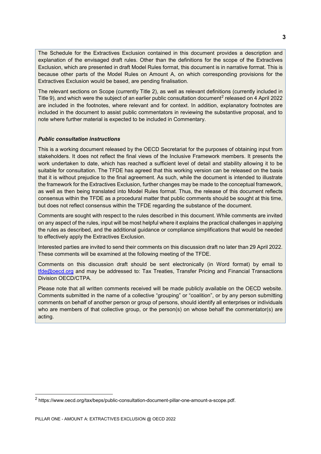The Schedule for the Extractives Exclusion contained in this document provides a description and explanation of the envisaged draft rules. Other than the definitions for the scope of the Extractives Exclusion, which are presented in draft Model Rules format, this document is in narrative format. This is because other parts of the Model Rules on Amount A, on which corresponding provisions for the Extractives Exclusion would be based, are pending finalisation.

The relevant sections on Scope (currently Title 2), as well as relevant definitions (currently included in Title 9), and which were the subject of an earlier public consultation document<sup>[2](#page-3-0)</sup> released on 4 April 2022 are included in the footnotes, where relevant and for context. In addition, explanatory footnotes are included in the document to assist public commentators in reviewing the substantive proposal, and to note where further material is expected to be included in Commentary.

## *Public consultation instructions*

This is a working document released by the OECD Secretariat for the purposes of obtaining input from stakeholders. It does not reflect the final views of the Inclusive Framework members. It presents the work undertaken to date, which has reached a sufficient level of detail and stability allowing it to be suitable for consultation. The TFDE has agreed that this working version can be released on the basis that it is without prejudice to the final agreement. As such, while the document is intended to illustrate the framework for the Extractives Exclusion, further changes may be made to the conceptual framework, as well as then being translated into Model Rules format. Thus, the release of this document reflects consensus within the TFDE as a procedural matter that public comments should be sought at this time, but does not reflect consensus within the TFDE regarding the substance of the document.

Comments are sought with respect to the rules described in this document. While comments are invited on any aspect of the rules, input will be most helpful where it explains the practical challenges in applying the rules as described, and the additional guidance or compliance simplifications that would be needed to effectively apply the Extractives Exclusion.

Interested parties are invited to send their comments on this discussion draft no later than 29 April 2022. These comments will be examined at the following meeting of the TFDE.

Comments on this discussion draft should be sent electronically (in Word format) by email to [tfde@oecd.org](mailto:tfde@oecd.org) and may be addressed to: Tax Treaties, Transfer Pricing and Financial Transactions Division OECD/CTPA.

Please note that all written comments received will be made publicly available on the OECD website. Comments submitted in the name of a collective "grouping" or "coalition", or by any person submitting comments on behalf of another person or group of persons, should identify all enterprises or individuals who are members of that collective group, or the person(s) on whose behalf the commentator(s) are acting.

<span id="page-3-0"></span> <sup>2</sup> https://www.oecd.org/tax/beps/public-consultation-document-pillar-one-amount-a-scope.pdf.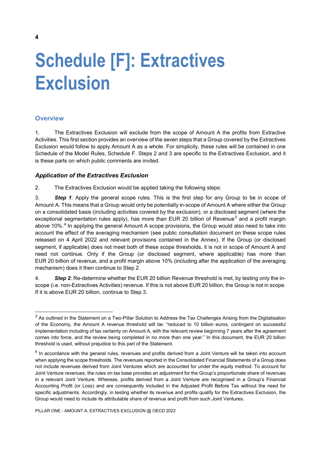# <span id="page-4-0"></span>**Schedule [F]: Extractives Exclusion**

# **Overview**

1. The Extractives Exclusion will exclude from the scope of Amount A the profits from Extractive Activities. This first section provides an overview of the seven steps that a Group covered by the Extractives Exclusion would follow to apply Amount A as a whole. For simplicity, these rules will be contained in one Schedule of the Model Rules, Schedule F. Steps 2 and 3 are specific to the Extractives Exclusion, and it is these parts on which public comments are invited.

## *Application of the Extractives Exclusion*

2. The Extractives Exclusion would be applied taking the following steps:

3. *Step 1*: Apply the general scope rules. This is the first step for any Group to be in scope of Amount A. This means that a Group would only be potentially in-scope of Amount A where either the Group on a consolidated basis (including activities covered by the exclusion), or a disclosed segment (where the exceptional segmentation rules apply), has more than EUR 20 billion of Revenue<sup>[3](#page-4-1)</sup> and a profit margin above 10%.<sup>[4](#page-4-2)</sup> In applying the general Amount A scope provisions, the Group would also need to take into account the effect of the averaging mechanism (see public consultation document on these scope rules released on 4 April 2022 and relevant provisions contained in the Annex). If the Group (or disclosed segment, if applicable) does not meet both of these scope thresholds, it is not in scope of Amount A and need not continue. Only if the Group (or disclosed segment, where applicable) has more than EUR 20 billion of revenue, and a profit margin above 10% (including after the application of the averaging mechanism) does it then continue to Step 2.

4. *Step 2*: Re-determine whether the EUR 20 billion Revenue threshold is met, by testing only the inscope (i.e. non-Extractives Activities) revenue. If this is not above EUR 20 billion, the Group is not in scope. If it is above EUR 20 billion, continue to Step 3.

<span id="page-4-1"></span> $3$  As outlined in the Statement on a Two-Pillar Solution to Address the Tax Challenges Arising from the Digitalisation of the Economy, the Amount A revenue threshold will be: "reduced to 10 billion euros, contingent on successful implementation including of tax certainty on Amount A, with the relevant review beginning 7 years after the agreement comes into force, and the review being completed in no more than one year." In this document, the EUR 20 billion threshold is used, without prejudice to this part of the Statement.

<span id="page-4-2"></span><sup>&</sup>lt;sup>4</sup> In accordance with the general rules, revenues and profits derived from a Joint Venture will be taken into account when applying the scope thresholds. The revenues reported in the Consolidated Financial Statements of a Group does not include revenues derived from Joint Ventures which are accounted for under the equity method. To account for Joint Venture revenues, the rules on tax base provides an adjustment for the Group's proportionate share of revenues in a relevant Joint Venture. Whereas, profits derived from a Joint Venture are recognised in a Group's Financial Accounting Profit (or Loss) and are consequently included in the Adjusted Profit Before Tax without the need for specific adjustments. Accordingly, in testing whether its revenue and profits qualify for the Extractives Exclusion, the Group would need to include its attributable share of revenue and profit from such Joint Ventures.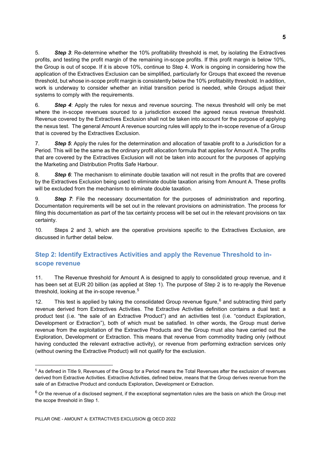5. *Step 3*: Re-determine whether the 10% profitability threshold is met, by isolating the Extractives profits, and testing the profit margin of the remaining in-scope profits. If this profit margin is below 10%, the Group is out of scope. If it is above 10%, continue to Step 4. Work is ongoing in considering how the application of the Extractives Exclusion can be simplified, particularly for Groups that exceed the revenue threshold, but whose in-scope profit margin is consistently below the 10% profitability threshold. In addition, work is underway to consider whether an initial transition period is needed, while Groups adjust their systems to comply with the requirements.

6. *Step 4*: Apply the rules for nexus and revenue sourcing. The nexus threshold will only be met where the in-scope revenues sourced to a jurisdiction exceed the agreed nexus revenue threshold. Revenue covered by the Extractives Exclusion shall not be taken into account for the purpose of applying the nexus test. The general Amount A revenue sourcing rules will apply to the in-scope revenue of a Group that is covered by the Extractives Exclusion.

7. *Step 5*: Apply the rules for the determination and allocation of taxable profit to a Jurisdiction for a Period. This will be the same as the ordinary profit allocation formula that applies for Amount A. The profits that are covered by the Extractives Exclusion will not be taken into account for the purposes of applying the Marketing and Distribution Profits Safe Harbour.

8. *Step 6*: The mechanism to eliminate double taxation will not result in the profits that are covered by the Extractives Exclusion being used to eliminate double taxation arising from Amount A. These profits will be excluded from the mechanism to eliminate double taxation.

9. *Step 7*: File the necessary documentation for the purposes of administration and reporting. Documentation requirements will be set out in the relevant provisions on administration. The process for filing this documentation as part of the tax certainty process will be set out in the relevant provisions on tax certainty.

10. Steps 2 and 3, which are the operative provisions specific to the Extractives Exclusion, are discussed in further detail below.

# **Step 2: Identify Extractives Activities and apply the Revenue Threshold to inscope revenue**

11. The Revenue threshold for Amount A is designed to apply to consolidated group revenue, and it has been set at EUR 20 billion (as applied at Step 1). The purpose of Step 2 is to re-apply the Revenue threshold, looking at the in-scope revenue.<sup>[5](#page-5-0)</sup>

12. This test is applied by taking the consolidated Group revenue figure,  $6$  and subtracting third party revenue derived from Extractives Activities. The Extractive Activities definition contains a dual test: a product test (i.e. "the sale of an Extractive Product") and an activities test (i.e. "conduct Exploration, Development or Extraction"), both of which must be satisfied. In other words, the Group must derive revenue from the exploitation of the Extractive Products and the Group must also have carried out the Exploration, Development or Extraction. This means that revenue from commodity trading only (without having conducted the relevant extractive activity), or revenue from performing extraction services only (without owning the Extractive Product) will not qualify for the exclusion.

<span id="page-5-0"></span> <sup>5</sup> As defined in Title 9, Revenues of the Group for a Period means the Total Revenues after the exclusion of revenues derived from Extractive Activities. Extractive Activities, defined below, means that the Group derives revenue from the sale of an Extractive Product and conducts Exploration, Development or Extraction.

<span id="page-5-1"></span> $6$  Or the revenue of a disclosed segment, if the exceptional segmentation rules are the basis on which the Group met the scope threshold in Step 1.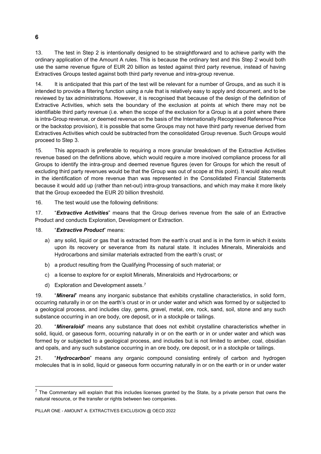13. The test in Step 2 is intentionally designed to be straightforward and to achieve parity with the ordinary application of the Amount A rules. This is because the ordinary test and this Step 2 would both use the same revenue figure of EUR 20 billion as tested against third party revenue, instead of having Extractives Groups tested against both third party revenue and intra-group revenue.

14. It is anticipated that this part of the test will be relevant for a number of Groups, and as such it is intended to provide a filtering function using a rule that is relatively easy to apply and document, and to be reviewed by tax administrations. However, it is recognised that because of the design of the definition of Extractive Activities, which sets the boundary of the exclusion at points at which there may not be identifiable third party revenue (i.e. when the scope of the exclusion for a Group is at a point where there is intra-Group revenue, or deemed revenue on the basis of the Internationally Recognised Reference Price or the backstop provision), it is possible that some Groups may not have third party revenue derived from Extractives Activities which could be subtracted from the consolidated Group revenue. Such Groups would proceed to Step 3.

15. This approach is preferable to requiring a more granular breakdown of the Extractive Activities revenue based on the definitions above, which would require a more involved compliance process for all Groups to identify the intra-group and deemed revenue figures (even for Groups for which the result of excluding third party revenues would be that the Group was out of scope at this point). It would also result in the identification of more revenue than was represented in the Consolidated Financial Statements because it would add up (rather than net-out) intra-group transactions, and which may make it more likely that the Group exceeded the EUR 20 billion threshold.

16. The test would use the following definitions:

17. "*Extractive Activities*" means that the Group derives revenue from the sale of an Extractive Product and conducts Exploration, Development or Extraction.

## 18. "*Extractive Product*" means:

- a) any solid, liquid or gas that is extracted from the earth's crust and is in the form in which it exists upon its recovery or severance from its natural state. It includes Minerals, Mineraloids and Hydrocarbons and similar materials extracted from the earth's crust; or
- b) a product resulting from the Qualifying Processing of such material; or
- c) a license to explore for or exploit Minerals, Mineraloids and Hydrocarbons; or
- d) Exploration and Development assets.[7](#page-6-0)

19. "*Mineral*" means any inorganic substance that exhibits crystalline characteristics, in solid form, occurring naturally in or on the earth's crust or in or under water and which was formed by or subjected to a geological process, and includes clay, gems, gravel, metal, ore, rock, sand, soil, stone and any such substance occurring in an ore body, ore deposit, or in a stockpile or tailings.

20. "*Mineraloid*" means any substance that does not exhibit crystalline characteristics whether in solid, liquid, or gaseous form, occurring naturally in or on the earth or in or under water and which was formed by or subjected to a geological process, and includes but is not limited to amber, coal, obsidian and opals, and any such substance occurring in an ore body, ore deposit, or in a stockpile or tailings.

21. "*Hydrocarbon*" means any organic compound consisting entirely of carbon and hydrogen molecules that is in solid, liquid or gaseous form occurring naturally in or on the earth or in or under water

### **6**

<span id="page-6-0"></span> $<sup>7</sup>$  The Commentary will explain that this includes licenses granted by the State, by a private person that owns the</sup> natural resource, or the transfer or rights between two companies.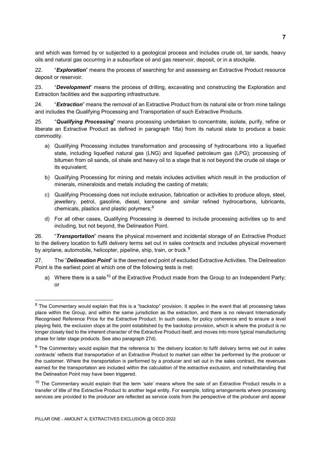and which was formed by or subjected to a geological process and includes crude oil, tar sands, heavy oils and natural gas occurring in a subsurface oil and gas reservoir, deposit, or in a stockpile.

22. "*Exploration*" means the process of searching for and assessing an Extractive Product resource deposit or reservoir.

23. "*Development*" means the process of drilling, excavating and constructing the Exploration and Extraction facilities and the supporting infrastructure.

24. "*Extraction*" means the removal of an Extractive Product from its natural site or from mine tailings and includes the Qualifying Processing and Transportation of such Extractive Products.

25. "*Qualifying Processing*" means processing undertaken to concentrate, isolate, purify, refine or liberate an Extractive Product as defined in paragraph 18a) from its natural state to produce a basic commodity.

- a) Qualifying Processing includes transformation and processing of hydrocarbons into a liquefied state, including liquefied natural gas (LNG) and liquefied petroleum gas (LPG); processing of bitumen from oil sands, oil shale and heavy oil to a stage that is not beyond the crude oil stage or its equivalent;
- b) Qualifying Processing for mining and metals includes activities which result in the production of minerals, mineraloids and metals including the casting of metals;
- c) Qualifying Processing does not include extrusion, fabrication or activities to produce alloys, steel, jewellery, petrol, gasoline, diesel, kerosene and similar refined hydrocarbons, lubricants, chemicals, plastics and plastic polymers; $8<sup>8</sup>$  $8<sup>8</sup>$
- d) For all other cases, Qualifying Processing is deemed to include processing activities up to and including, but not beyond, the Delineation Point.

26. "*Transportation*" means the physical movement and incidental storage of an Extractive Product to the delivery location to fulfil delivery terms set out in sales contracts and includes physical movement by airplane, automobile, helicopter, pipeline, ship, train, or truck.<sup>[9](#page-7-1)</sup>

27. The "*Delineation Point*" is the deemed end point of excluded Extractive Activities. The Delineation Point is the earliest point at which one of the following tests is met:

a) Where there is a sale<sup>[10](#page-7-2)</sup> of the Extractive Product made from the Group to an Independent Party; or

<span id="page-7-0"></span> $8$  The Commentary would explain that this is a "backstop" provision. It applies in the event that all processing takes place within the Group, and within the same jurisdiction as the extraction, and there is no relevant Internationally Recognised Reference Price for the Extractive Product. In such cases, for policy coherence and to ensure a level playing field, the exclusion stops at the point established by the backstop provision, which is where the product is no longer closely tied to the inherent character of the Extractive Product itself, and moves into more typical manufacturing phase for later stage products. See also paragraph 27d).

<span id="page-7-1"></span> $9$  The Commentary would explain that the reference to 'the delivery location to fulfil delivery terms set out in sales contracts' reflects that transportation of an Extractive Product to market can either be performed by the producer or the customer. Where the transportation is performed by a producer and set out in the sales contract, the revenues earned for the transportation are included within the calculation of the extractive exclusion, and notwithstanding that the Delineation Point may have been triggered.

<span id="page-7-2"></span> $10$  The Commentary would explain that the term 'sale' means where the sale of an Extractive Product results in a transfer of title of the Extractive Product to another legal entity. For example, tolling arrangements where processing services are provided to the producer are reflected as service costs from the perspective of the producer and appear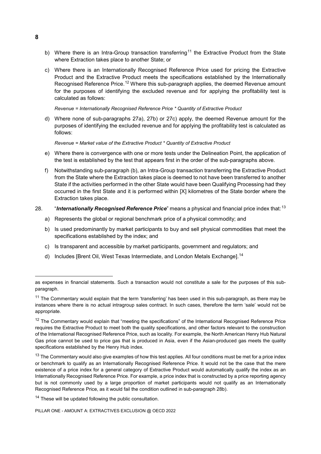- b) Where there is an Intra-Group transaction transferring<sup>[11](#page-8-0)</sup> the Extractive Product from the State where Extraction takes place to another State; or
- c) Where there is an Internationally Recognised Reference Price used for pricing the Extractive Product and the Extractive Product meets the specifications established by the Internationally Recognised Reference Price.<sup>[12](#page-8-1)</sup> Where this sub-paragraph applies, the deemed Revenue amount for the purposes of identifying the excluded revenue and for applying the profitability test is calculated as follows:

*Revenue = Internationally Recognised Reference Price \* Quantity of Extractive Product* 

d) Where none of sub-paragraphs 27a), 27b) or 27c) apply, the deemed Revenue amount for the purposes of identifying the excluded revenue and for applying the profitability test is calculated as follows:

*Revenue = Market value of the Extractive Product \* Quantity of Extractive Product*

- e) Where there is convergence with one or more tests under the Delineation Point, the application of the test is established by the test that appears first in the order of the sub-paragraphs above.
- f) Notwithstanding sub-paragraph (b), an Intra-Group transaction transferring the Extractive Product from the State where the Extraction takes place is deemed to not have been transferred to another State if the activities performed in the other State would have been Qualifying Processing had they occurred in the first State and it is performed within [X] kilometres of the State border where the Extraction takes place.

## 28. "**Internationally Recognised Reference Price**" means a physical and financial price index that:<sup>[13](#page-8-2)</sup>

- a) Represents the global or regional benchmark price of a physical commodity; and
- b) Is used predominantly by market participants to buy and sell physical commodities that meet the specifications established by the index; and
- c) Is transparent and accessible by market participants, government and regulators; and
- d) Includes [Brent Oil, West Texas Intermediate, and London Metals Exchange].<sup>[14](#page-8-3)</sup>

PILLAR ONE - AMOUNT A: EXTRACTIVES EXCLUSION @ OECD 2022

**8**

 $\overline{a}$ 

as expenses in financial statements. Such a transaction would not constitute a sale for the purposes of this subparagraph.

<span id="page-8-0"></span> $11$  The Commentary would explain that the term 'transferring' has been used in this sub-paragraph, as there may be instances where there is no actual intragroup sales contract. In such cases, therefore the term 'sale' would not be appropriate.

<span id="page-8-1"></span><sup>&</sup>lt;sup>12</sup> The Commentary would explain that "meeting the specifications" of the International Recognised Reference Price requires the Extractive Product to meet both the quality specifications, and other factors relevant to the construction of the International Recognised Reference Price, such as locality. For example, the North American Henry Hub Natural Gas price cannot be used to price gas that is produced in Asia, even if the Asian-produced gas meets the quality specifications established by the Henry Hub index.

<span id="page-8-2"></span> $13$  The Commentary would also give examples of how this test applies. All four conditions must be met for a price index or benchmark to qualify as an Internationally Recognised Reference Price. It would not be the case that the mere existence of a price index for a general category of Extractive Product would automatically qualify the index as an Internationally Recognised Reference Price. For example, a price index that is constructed by a price reporting agency but is not commonly used by a large proportion of market participants would not qualify as an Internationally Recognised Reference Price, as it would fail the condition outlined in sub-paragraph 28b).

<span id="page-8-3"></span><sup>&</sup>lt;sup>14</sup> These will be updated following the public consultation.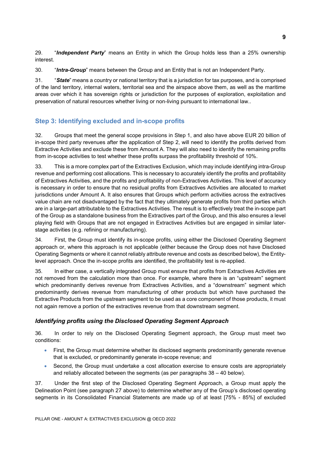29. "*Independent Party*" means an Entity in which the Group holds less than a 25% ownership interest.

30. "*Intra-Group*" means between the Group and an Entity that is not an Independent Party.

31. "*State*" means a country or national territory that is a jurisdiction for tax purposes, and is comprised of the land territory, internal waters, territorial sea and the airspace above them, as well as the maritime areas over which it has sovereign rights or jurisdiction for the purposes of exploration, exploitation and preservation of natural resources whether living or non-living pursuant to international law..

# **Step 3: Identifying excluded and in-scope profits**

32. Groups that meet the general scope provisions in Step 1, and also have above EUR 20 billion of in-scope third party revenues after the application of Step 2, will need to identify the profits derived from Extractive Activities and exclude these from Amount A. They will also need to identify the remaining profits from in-scope activities to test whether these profits surpass the profitability threshold of 10%.

33. This is a more complex part of the Extractives Exclusion, which may include identifying intra-Group revenue and performing cost allocations. This is necessary to accurately identify the profits and profitability of Extractives Activities, and the profits and profitability of non-Extractives Activities. This level of accuracy is necessary in order to ensure that no residual profits from Extractives Activities are allocated to market jurisdictions under Amount A. It also ensures that Groups which perform activities across the extractives value chain are not disadvantaged by the fact that they ultimately generate profits from third parties which are in a large-part attributable to the Extractives Activities. The result is to effectively treat the in-scope part of the Group as a standalone business from the Extractives part of the Group, and this also ensures a level playing field with Groups that are not engaged in Extractives Activities but are engaged in similar laterstage activities (e.g. refining or manufacturing).

34. First, the Group must identify its in-scope profits, using either the Disclosed Operating Segment approach or, where this approach is not applicable (either because the Group does not have Disclosed Operating Segments or where it cannot reliably attribute revenue and costs as described below), the Entitylevel approach. Once the in-scope profits are identified, the profitability test is re-applied.

35. In either case, a vertically integrated Group must ensure that profits from Extractives Activities are not removed from the calculation more than once. For example, where there is an "upstream" segment which predominantly derives revenue from Extractives Activities, and a "downstream" segment which predominantly derives revenue from manufacturing of other products but which have purchased the Extractive Products from the upstream segment to be used as a core component of those products, it must not again remove a portion of the extractives revenue from that downstream segment.

# *Identifying profits using the Disclosed Operating Segment Approach*

<span id="page-9-0"></span>36. In order to rely on the Disclosed Operating Segment approach, the Group must meet two conditions:

- First, the Group must determine whether its disclosed segments predominantly generate revenue that is excluded, or predominantly generate in-scope revenue; and
- Second, the Group must undertake a cost allocation exercise to ensure costs are appropriately and reliably allocated between the segments (as per paragraphs 38 – 40 below).

37. Under the first step of the Disclosed Operating Segment Approach, a Group must apply the Delineation Point (see paragraph 27 above) to determine whether any of the Group's disclosed operating segments in its Consolidated Financial Statements are made up of at least [75% - 85%] of excluded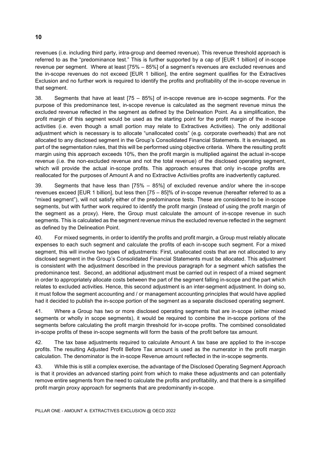revenues (i.e. including third party, intra-group and deemed revenue). This revenue threshold approach is referred to as the "predominance test." This is further supported by a cap of [EUR 1 billion] of in-scope revenue per segment. Where at least [75% – 85%] of a segment's revenues are excluded revenues and the in-scope revenues do not exceed [EUR 1 billion], the entire segment qualifies for the Extractives Exclusion and no further work is required to identify the profits and profitability of the in-scope revenue in that segment.

38. Segments that have at least [75 – 85%] of in-scope revenue are in-scope segments. For the purpose of this predominance test, in-scope revenue is calculated as the segment revenue minus the excluded revenue reflected in the segment as defined by the Delineation Point. As a simplification, the profit margin of this segment would be used as the starting point for the profit margin of the in-scope activities (i.e. even though a small portion may relate to Extractives Activities). The only additional adjustment which is necessary is to allocate "unallocated costs" (e.g. corporate overheads) that are not allocated to any disclosed segment in the Group's Consolidated Financial Statements. It is envisaged, as part of the segmentation rules, that this will be performed using objective criteria. Where the resulting profit margin using this approach exceeds 10%, then the profit margin is multiplied against the actual in-scope revenue (i.e. the non-excluded revenue and not the total revenue) of the disclosed operating segment, which will provide the actual in-scope profits. This approach ensures that only in-scope profits are reallocated for the purposes of Amount A and no Extractive Activities profits are inadvertently captured.

39. Segments that have less than [75% – 85%] of excluded revenue and/or where the in-scope revenues exceed [EUR 1 billion], but less then [75 – 85]% of in-scope revenue (hereafter referred to as a "mixed segment"), will not satisfy either of the predominance tests. These are considered to be in-scope segments, but with further work required to identify the profit margin (instead of using the profit margin of the segment as a proxy). Here, the Group must calculate the amount of in-scope revenue in such segments. This is calculated as the segment revenue minus the excluded revenue reflected in the segment as defined by the Delineation Point.

40. For mixed segments, in order to identify the profits and profit margin, a Group must reliably allocate expenses to each such segment and calculate the profits of each in-scope such segment. For a mixed segment, this will involve two types of adjustments: First, unallocated costs that are not allocated to any disclosed segment in the Group's Consolidated Financial Statements must be allocated. This adjustment is consistent with the adjustment described in the previous paragraph for a segment which satisfies the predominance test. Second, an additional adjustment must be carried out in respect of a mixed segment in order to appropriately allocate costs between the part of the segment falling in-scope and the part which relates to excluded activities. Hence, this second adjustment is an inter-segment adjustment. In doing so, it must follow the segment accounting and / or management accounting principles that would have applied had it decided to publish the in-scope portion of the segment as a separate disclosed operating segment.

41. Where a Group has two or more disclosed operating segments that are in-scope (either mixed segments or wholly in scope segments), it would be required to combine the in-scope portions of the segments before calculating the profit margin threshold for in-scope profits. The combined consolidated in-scope profits of these in-scope segments will form the basis of the profit before tax amount.

42. The tax base adjustments required to calculate Amount A tax base are applied to the in-scope profits. The resulting Adjusted Profit Before Tax amount is used as the numerator in the profit margin calculation. The denominator is the in-scope Revenue amount reflected in the in-scope segments.

43. While this is still a complex exercise, the advantage of the Disclosed Operating Segment Approach is that it provides an advanced starting point from which to make these adjustments and can potentially remove entire segments from the need to calculate the profits and profitability, and that there is a simplified profit margin proxy approach for segments that are predominantly in-scope.

#### **10**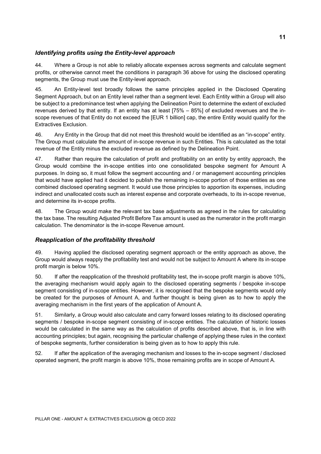# *Identifying profits using the Entity-level approach*

44. Where a Group is not able to reliably allocate expenses across segments and calculate segment profits, or otherwise cannot meet the conditions in paragraph [36](#page-9-0) above for using the disclosed operating segments, the Group must use the Entity-level approach.

45. An Entity-level test broadly follows the same principles applied in the Disclosed Operating Segment Approach, but on an Entity level rather than a segment level. Each Entity within a Group will also be subject to a predominance test when applying the Delineation Point to determine the extent of excluded revenues derived by that entity. If an entity has at least [75% – 85%] of excluded revenues and the inscope revenues of that Entity do not exceed the [EUR 1 billion] cap, the entire Entity would qualify for the Extractives Exclusion.

46. Any Entity in the Group that did not meet this threshold would be identified as an "in-scope" entity. The Group must calculate the amount of in-scope revenue in such Entities. This is calculated as the total revenue of the Entity minus the excluded revenue as defined by the Delineation Point.

47. Rather than require the calculation of profit and profitability on an entity by entity approach, the Group would combine the in-scope entities into one consolidated bespoke segment for Amount A purposes. In doing so, it must follow the segment accounting and / or management accounting principles that would have applied had it decided to publish the remaining in-scope portion of those entities as one combined disclosed operating segment. It would use those principles to apportion its expenses, including indirect and unallocated costs such as interest expense and corporate overheads, to its in-scope revenue, and determine its in-scope profits.

48. The Group would make the relevant tax base adjustments as agreed in the rules for calculating the tax base. The resulting Adjusted Profit Before Tax amount is used as the numerator in the profit margin calculation. The denominator is the in-scope Revenue amount.

# *Reapplication of the profitability threshold*

49. Having applied the disclosed operating segment approach or the entity approach as above, the Group would always reapply the profitability test and would not be subject to Amount A where its in-scope profit margin is below 10%.

50. If after the reapplication of the threshold profitability test, the in-scope profit margin is above 10%, the averaging mechanism would apply again to the disclosed operating segments / bespoke in-scope segment consisting of in-scope entities. However, it is recognised that the bespoke segments would only be created for the purposes of Amount A, and further thought is being given as to how to apply the averaging mechanism in the first years of the application of Amount A.

51. Similarly, a Group would also calculate and carry forward losses relating to its disclosed operating segments / bespoke in-scope segment consisting of in-scope entities. The calculation of historic losses would be calculated in the same way as the calculation of profits described above, that is, in line with accounting principles; but again, recognising the particular challenge of applying these rules in the context of bespoke segments, further consideration is being given as to how to apply this rule.

52. If after the application of the averaging mechanism and losses to the in-scope segment / disclosed operated segment, the profit margin is above 10%, those remaining profits are in scope of Amount A.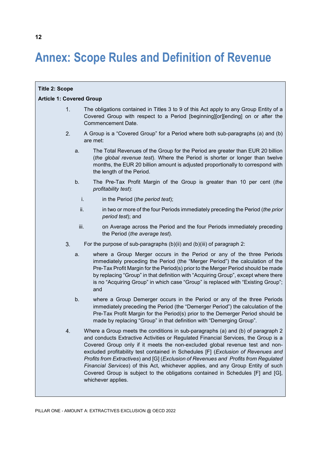# **Annex: Scope Rules and Definition of Revenue**

| <b>Title 2: Scope</b>           |      |                                                                                                                                                                                                                                                                                                                                                                                                                                                                                                                                                                                                                                |  |  |
|---------------------------------|------|--------------------------------------------------------------------------------------------------------------------------------------------------------------------------------------------------------------------------------------------------------------------------------------------------------------------------------------------------------------------------------------------------------------------------------------------------------------------------------------------------------------------------------------------------------------------------------------------------------------------------------|--|--|
| <b>Article 1: Covered Group</b> |      |                                                                                                                                                                                                                                                                                                                                                                                                                                                                                                                                                                                                                                |  |  |
| 1.                              |      | The obligations contained in Titles 3 to 9 of this Act apply to any Group Entity of a<br>Covered Group with respect to a Period [beginning][or][ending] on or after the<br>Commencement Date.                                                                                                                                                                                                                                                                                                                                                                                                                                  |  |  |
| 2.                              |      | A Group is a "Covered Group" for a Period where both sub-paragraphs (a) and (b)<br>are met:                                                                                                                                                                                                                                                                                                                                                                                                                                                                                                                                    |  |  |
|                                 | a.   | The Total Revenues of the Group for the Period are greater than EUR 20 billion<br>(the global revenue test). Where the Period is shorter or longer than twelve<br>months, the EUR 20 billion amount is adjusted proportionally to correspond with<br>the length of the Period.                                                                                                                                                                                                                                                                                                                                                 |  |  |
|                                 | b.   | The Pre-Tax Profit Margin of the Group is greater than 10 per cent (the<br>profitability test):                                                                                                                                                                                                                                                                                                                                                                                                                                                                                                                                |  |  |
|                                 | i.   | in the Period (the period test);                                                                                                                                                                                                                                                                                                                                                                                                                                                                                                                                                                                               |  |  |
|                                 | ii.  | in two or more of the four Periods immediately preceding the Period (the prior<br>period test); and                                                                                                                                                                                                                                                                                                                                                                                                                                                                                                                            |  |  |
|                                 | iii. | on Average across the Period and the four Periods immediately preceding<br>the Period (the average test).                                                                                                                                                                                                                                                                                                                                                                                                                                                                                                                      |  |  |
| 3.                              |      | For the purpose of sub-paragraphs $(b)(ii)$ and $(b)(iii)$ of paragraph 2:                                                                                                                                                                                                                                                                                                                                                                                                                                                                                                                                                     |  |  |
|                                 | a.   | where a Group Merger occurs in the Period or any of the three Periods<br>immediately preceding the Period (the "Merger Period") the calculation of the<br>Pre-Tax Profit Margin for the Period(s) prior to the Merger Period should be made<br>by replacing "Group" in that definition with "Acquiring Group", except where there<br>is no "Acquiring Group" in which case "Group" is replaced with "Existing Group";<br>and                                                                                                                                                                                                   |  |  |
|                                 | b.   | where a Group Demerger occurs in the Period or any of the three Periods<br>immediately preceding the Period (the "Demerger Period") the calculation of the<br>Pre-Tax Profit Margin for the Period(s) prior to the Demerger Period should be<br>made by replacing "Group" in that definition with "Demerging Group".                                                                                                                                                                                                                                                                                                           |  |  |
| 4.                              |      | Where a Group meets the conditions in sub-paragraphs (a) and (b) of paragraph 2<br>and conducts Extractive Activities or Regulated Financial Services, the Group is a<br>Covered Group only if it meets the non-excluded global revenue test and non-<br>excluded profitability test contained in Schedules [F] (Exclusion of Revenues and<br>Profits from Extractives) and [G] (Exclusion of Revenues and Profits from Regulated<br>Financial Services) of this Act, whichever applies, and any Group Entity of such<br>Covered Group is subject to the obligations contained in Schedules [F] and [G],<br>whichever applies. |  |  |